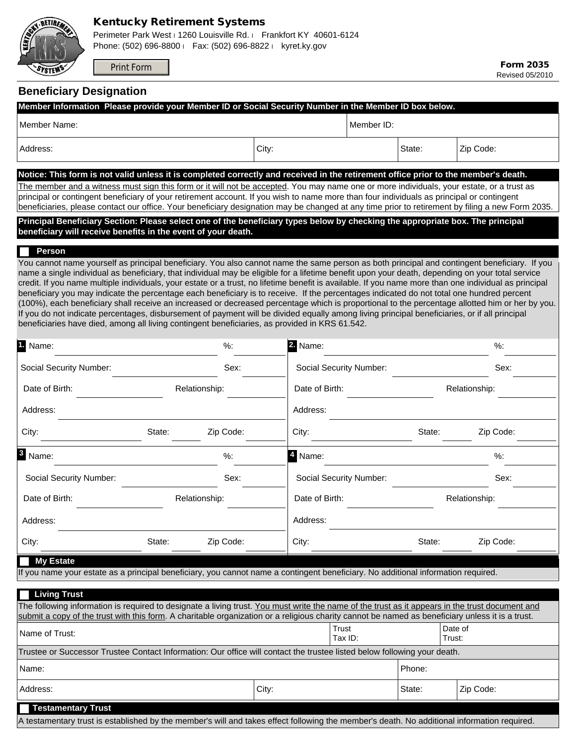

## Kentucky Retirement Systems

Perimeter Park West i 1260 Louisville Rd. i Frankfort KY 40601-6124 Phone: (502) 696-8800 l Fax: (502) 696-8822 l kyret.ky.gov

Print Form

Form 2035 Revised 05/2010

## **Beneficiary Designation**

| Member Information Please provide your Member ID or Social Security Number in the Member ID box below.                                                                                                                                                                                                    |               |           |                      |                    |                         |        |                   |           |  |
|-----------------------------------------------------------------------------------------------------------------------------------------------------------------------------------------------------------------------------------------------------------------------------------------------------------|---------------|-----------|----------------------|--------------------|-------------------------|--------|-------------------|-----------|--|
| Member Name:                                                                                                                                                                                                                                                                                              |               |           |                      |                    | Member ID:              |        |                   |           |  |
| Address:                                                                                                                                                                                                                                                                                                  |               |           | City:                |                    |                         | State: | Zip Code:         |           |  |
| Notice: This form is not valid unless it is completed correctly and received in the retirement office prior to the member's death.                                                                                                                                                                        |               |           |                      |                    |                         |        |                   |           |  |
| The member and a witness must sign this form or it will not be accepted. You may name one or more individuals, your estate, or a trust as                                                                                                                                                                 |               |           |                      |                    |                         |        |                   |           |  |
| principal or contingent beneficiary of your retirement account. If you wish to name more than four individuals as principal or contingent<br>beneficiaries, please contact our office. Your beneficiary designation may be changed at any time prior to retirement by filing a new Form 2035.             |               |           |                      |                    |                         |        |                   |           |  |
| Principal Beneficiary Section: Please select one of the beneficiary types below by checking the appropriate box. The principal                                                                                                                                                                            |               |           |                      |                    |                         |        |                   |           |  |
| beneficiary will receive benefits in the event of your death.                                                                                                                                                                                                                                             |               |           |                      |                    |                         |        |                   |           |  |
| Person                                                                                                                                                                                                                                                                                                    |               |           |                      |                    |                         |        |                   |           |  |
| You cannot name yourself as principal beneficiary. You also cannot name the same person as both principal and contingent beneficiary. If you                                                                                                                                                              |               |           |                      |                    |                         |        |                   |           |  |
| name a single individual as beneficiary, that individual may be eligible for a lifetime benefit upon your death, depending on your total service<br>credit. If you name multiple individuals, your estate or a trust, no lifetime benefit is available. If you name more than one individual as principal |               |           |                      |                    |                         |        |                   |           |  |
| beneficiary you may indicate the percentage each beneficiary is to receive. If the percentages indicated do not total one hundred percent                                                                                                                                                                 |               |           |                      |                    |                         |        |                   |           |  |
| (100%), each beneficiary shall receive an increased or decreased percentage which is proportional to the percentage allotted him or her by you.<br>If you do not indicate percentages, disbursement of payment will be divided equally among living principal beneficiaries, or if all principal          |               |           |                      |                    |                         |        |                   |           |  |
| beneficiaries have died, among all living contingent beneficiaries, as provided in KRS 61.542.                                                                                                                                                                                                            |               |           |                      |                    |                         |        |                   |           |  |
| 1 Name:                                                                                                                                                                                                                                                                                                   |               | %:        |                      | 2. Name:           |                         |        |                   | %         |  |
| Social Security Number:                                                                                                                                                                                                                                                                                   |               | Sex:      |                      |                    | Social Security Number: |        |                   | Sex:      |  |
| Date of Birth:                                                                                                                                                                                                                                                                                            | Relationship: |           | ▼∣                   | Date of Birth:     |                         |        | Relationship:     |           |  |
| Address:                                                                                                                                                                                                                                                                                                  |               |           |                      | Address:           |                         |        |                   |           |  |
| City:                                                                                                                                                                                                                                                                                                     | State:        | Zip Code: |                      | City:              |                         | State: |                   | Zip Code: |  |
| <sup>3</sup> Name:                                                                                                                                                                                                                                                                                        |               | %:        |                      | <sup>4</sup> Name: |                         |        |                   | $%$ :     |  |
| Social Security Number:                                                                                                                                                                                                                                                                                   |               | Sex:      | $\blacktriangledown$ |                    | Social Security Number: |        |                   | Sex:      |  |
| Date of Birth:                                                                                                                                                                                                                                                                                            | Relationship: |           | $\blacktriangledown$ | Date of Birth:     |                         |        | Relationship:     |           |  |
| Address:                                                                                                                                                                                                                                                                                                  |               |           |                      | Address:           |                         |        |                   |           |  |
| City:                                                                                                                                                                                                                                                                                                     | State:        | Zip Code: |                      | City:              |                         | State: |                   | Zip Code: |  |
| <b>My Estate</b>                                                                                                                                                                                                                                                                                          |               |           |                      |                    |                         |        |                   |           |  |
| If you name your estate as a principal beneficiary, you cannot name a contingent beneficiary. No additional information required.                                                                                                                                                                         |               |           |                      |                    |                         |        |                   |           |  |
| <b>Living Trust</b>                                                                                                                                                                                                                                                                                       |               |           |                      |                    |                         |        |                   |           |  |
| The following information is required to designate a living trust. You must write the name of the trust as it appears in the trust document and<br>submit a copy of the trust with this form. A charitable organization or a religious charity cannot be named as beneficiary unless it is a trust.       |               |           |                      |                    |                         |        |                   |           |  |
| Name of Trust:                                                                                                                                                                                                                                                                                            |               |           |                      |                    | Trust<br>Tax ID:        |        | Date of<br>Trust: |           |  |
| Trustee or Successor Trustee Contact Information: Our office will contact the trustee listed below following your death.                                                                                                                                                                                  |               |           |                      |                    |                         |        |                   |           |  |
| Name:                                                                                                                                                                                                                                                                                                     |               |           |                      |                    |                         | Phone: |                   |           |  |
| Address:                                                                                                                                                                                                                                                                                                  |               |           | City:                |                    |                         | State: | Zip Code:         |           |  |
| <b>Testamentary Trust</b>                                                                                                                                                                                                                                                                                 |               |           |                      |                    |                         |        |                   |           |  |
| A testamentary trust is established by the member's will and takes effect following the member's death. No additional information required.                                                                                                                                                               |               |           |                      |                    |                         |        |                   |           |  |
|                                                                                                                                                                                                                                                                                                           |               |           |                      |                    |                         |        |                   |           |  |